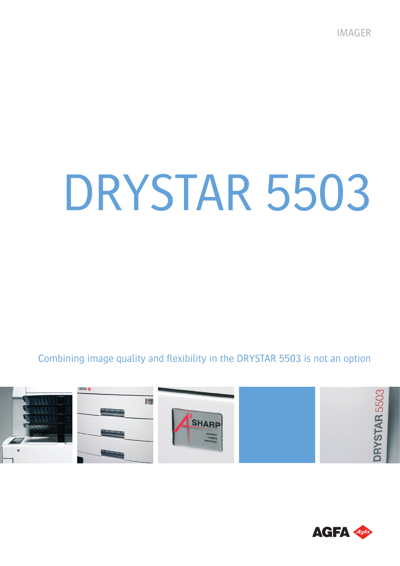IMAGER

# DRYSTAR 5503

Combining image quality and flexibility in the DRYSTAR 5503 is not an option



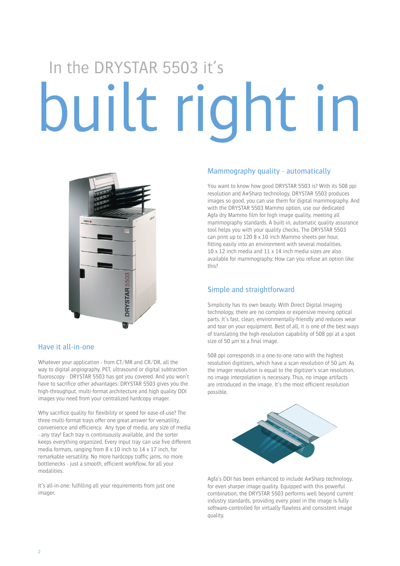## built right in In the DRYSTAR 5503 it's



### Have it all-in-one

Whatever your application - from CT/MR and CR/DR, all the way to digital angiography, PET, ultrasound or digital subtraction fluoroscopy - DRYSTAR 5503 has got you covered. And you won't have to sacrifice other advantages: DRYSTAR 5503 gives you the high-throughput, multi-format architecture and high quality DDI images you need from your centralized hardcopy imager.

Why sacrifice quality for flexibility or speed for ease-of-use? The three multi-format trays offer one great answer for versatility, convenience and efficiency. Any type of media, any size of media - any tray! Each tray is continuously available, and the sorter keeps everything organized. Every input tray can use five different media formats, ranging from 8 x 10 inch to 14 x 17 inch, for remarkable versatility. No more hardcopy traffic jams, no more bottlenecks - just a smooth, efficient workflow, for all your modalities.

It's all-in-one: fulfilling all your requirements from just one imager.

### Mammography quality - automatically

You want to know how good DRYSTAR 5503 is? With its 508 ppi resolution and A#Sharp technology, DRYSTAR 5503 produces images so good, you can use them for digital mammography. And with the DRYSTAR 5503 Mammo option, use our dedicated Agfa dry Mammo film for high image quality, meeting all mammography standards. A built-in, automatic quality assurance tool helps you with your quality checks. The DRYSTAR 5503 can print up to 120 8 x 10 inch Mammo sheets per hour, fitting easily into an environment with several modalities. 10 x 12 inch media and 11 x 14 inch media sizes are also available for mammography. How can you refuse an option like this?

## Simple and straightforward

Simplicity has its own beauty. With Direct Digital Imaging technology, there are no complex or expensive moving optical parts. It's fast, clean, environmentally-friendly and reduces wear and tear on your equipment. Best of all, it is one of the best ways of translating the high-resolution capability of 508 ppi at a spot size of 50 µm to a final image.

508 ppi corresponds in a one-to-one ratio with the highest resolution digitizers, which have a scan resolution of 50 µm. As the imager resolution is equal to the digitizer's scan resolution, no image interpolation is necessary. Thus, no image artifacts are introduced in the image. It's the most efficient resolution possible.



Agfa's DDI has been enhanced to include A#Sharp technology, for even sharper image quality. Equipped with this powerful combination, the DRYSTAR 5503 performs well beyond current industry standards, providing every pixel in the image is fully software-controlled for virtually flawless and consistent image quality.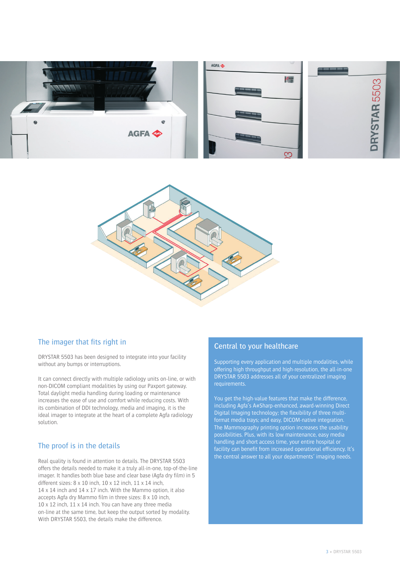



## The imager that fits right in

DRYSTAR 5503 has been designed to integrate into your facility without any bumps or interruptions.

It can connect directly with multiple radiology units on-line, or with non-DICOM compliant modalities by using our Paxport gateway. Total daylight media handling during loading or maintenance increases the ease of use and comfort while reducing costs. With its combination of DDI technology, media and imaging, it is the ideal imager to integrate at the heart of a complete Agfa radiology solution.

### The proof is in the details

Real quality is found in attention to details. The DRYSTAR 5503 offers the details needed to make it a truly all-in-one, top-of-the-line imager. It handles both blue base and clear base (Agfa dry film) in 5 different sizes: 8 x 10 inch, 10 x 12 inch, 11 x 14 inch, 14 x 14 inch and 14 x 17 inch. With the Mammo option, it also accepts Agfa dry Mammo film in three sizes: 8 x 10 inch, 10 x 12 inch, 11 x 14 inch. You can have any three media on-line at the same time, but keep the output sorted by modality. With DRYSTAR 5503, the details make the difference.

### Central to your healthcare

Supporting every application and multiple modalities, while offering high throughput and high-resolution, the all-in-one DRYSTAR 5503 addresses all of your centralized imaging requirements.

You get the high-value features that make the difference, including Agfa's A#Sharp-enhanced, award-winning Direct Digital Imaging technology; the flexibility of three multiformat media trays; and easy, DICOM-native integration. The Mammography printing option increases the usability possibilities. Plus, with its low maintenance, easy media handling and short access time, your entire hospital or facility can benefit from increased operational efficiency. It's the central answer to all your departments' imaging needs.